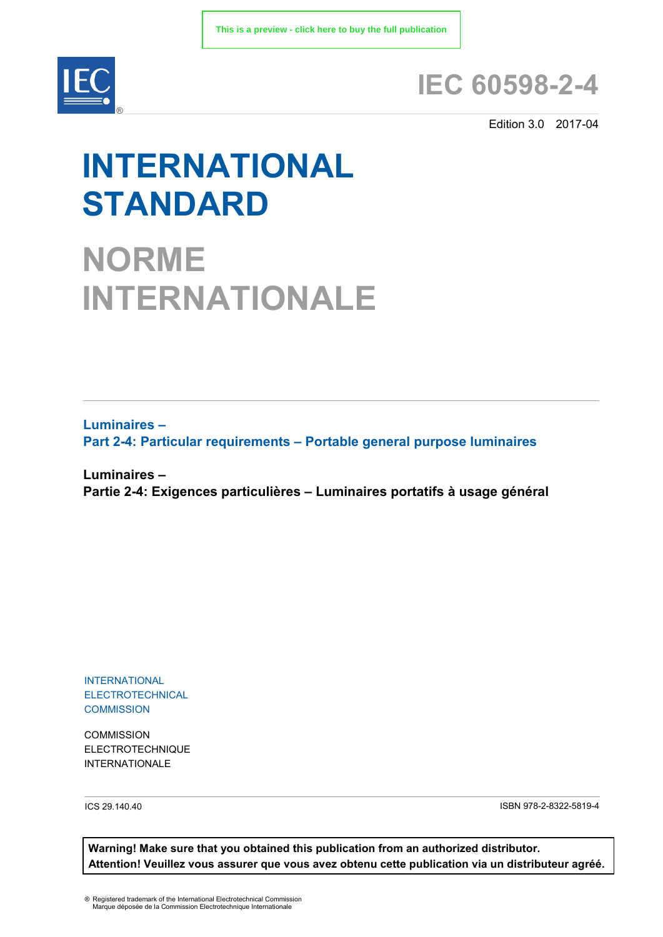

# **IEC 60598-2-4**

Edition 3.0 2017-04

# **INTERNATIONAL STANDARD**

**NORME INTERNATIONALE**

**Luminaires – Part 2-4: Particular requirements – Portable general purpose luminaires** 

**Luminaires – Partie 2-4: Exigences particulières – Luminaires portatifs à usage général**

INTERNATIONAL **ELECTROTECHNICAL COMMISSION** 

**COMMISSION** ELECTROTECHNIQUE INTERNATIONALE

ICS 29.140.40 ISBN 978-2-8322-5819-4

**Warning! Make sure that you obtained this publication from an authorized distributor. Attention! Veuillez vous assurer que vous avez obtenu cette publication via un distributeur agréé.**

® Registered trademark of the International Electrotechnical Commission Marque déposée de la Commission Electrotechnique Internationale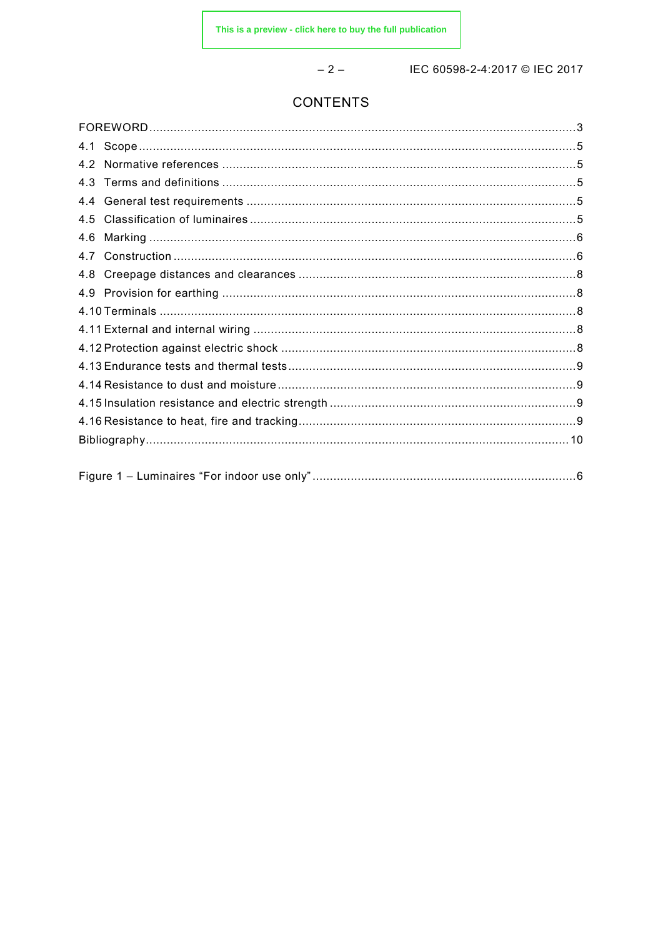# $-2 -$  IEC 60598-2-4:2017 © IEC 2017

# **CONTENTS**

| 4.2 |  |  |
|-----|--|--|
|     |  |  |
| 4.4 |  |  |
| 4.5 |  |  |
| 4.6 |  |  |
|     |  |  |
| 4.8 |  |  |
|     |  |  |
|     |  |  |
|     |  |  |
|     |  |  |
|     |  |  |
|     |  |  |
|     |  |  |
|     |  |  |
|     |  |  |
|     |  |  |
|     |  |  |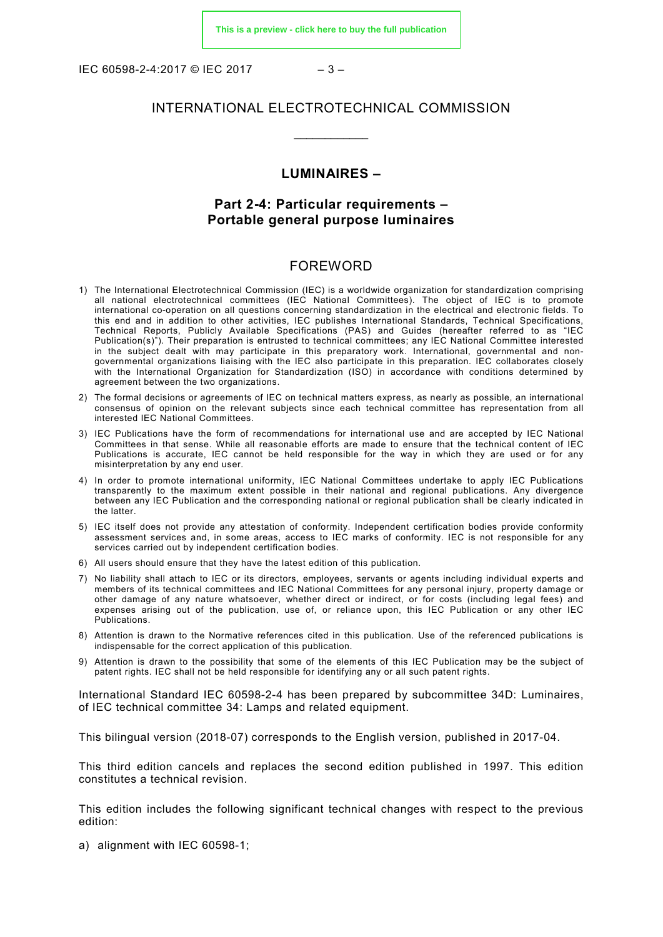IEC 60598-2-4:2017 © IEC 2017 – 3 –

# INTERNATIONAL ELECTROTECHNICAL COMMISSION

\_\_\_\_\_\_\_\_\_\_\_\_

#### **LUMINAIRES –**

# **Part 2-4: Particular requirements – Portable general purpose luminaires**

#### FOREWORD

- <span id="page-2-0"></span>1) The International Electrotechnical Commission (IEC) is a worldwide organization for standardization comprising all national electrotechnical committees (IEC National Committees). The object of IEC is to promote international co-operation on all questions concerning standardization in the electrical and electronic fields. To this end and in addition to other activities, IEC publishes International Standards, Technical Specifications, Technical Reports, Publicly Available Specifications (PAS) and Guides (hereafter referred to as "IEC Publication(s)"). Their preparation is entrusted to technical committees; any IEC National Committee interested in the subject dealt with may participate in this preparatory work. International, governmental and nongovernmental organizations liaising with the IEC also participate in this preparation. IEC collaborates closely with the International Organization for Standardization (ISO) in accordance with conditions determined by agreement between the two organizations.
- 2) The formal decisions or agreements of IEC on technical matters express, as nearly as possible, an international consensus of opinion on the relevant subjects since each technical committee has representation from all interested IEC National Committees.
- 3) IEC Publications have the form of recommendations for international use and are accepted by IEC National Committees in that sense. While all reasonable efforts are made to ensure that the technical content of IEC Publications is accurate, IEC cannot be held responsible for the way in which they are used or for any misinterpretation by any end user.
- 4) In order to promote international uniformity, IEC National Committees undertake to apply IEC Publications transparently to the maximum extent possible in their national and regional publications. Any divergence between any IEC Publication and the corresponding national or regional publication shall be clearly indicated in the latter.
- 5) IEC itself does not provide any attestation of conformity. Independent certification bodies provide conformity assessment services and, in some areas, access to IEC marks of conformity. IEC is not responsible for any services carried out by independent certification bodies.
- 6) All users should ensure that they have the latest edition of this publication.
- 7) No liability shall attach to IEC or its directors, employees, servants or agents including individual experts and members of its technical committees and IEC National Committees for any personal injury, property damage or other damage of any nature whatsoever, whether direct or indirect, or for costs (including legal fees) and expenses arising out of the publication, use of, or reliance upon, this IEC Publication or any other IEC Publications.
- 8) Attention is drawn to the Normative references cited in this publication. Use of the referenced publications is indispensable for the correct application of this publication.
- 9) Attention is drawn to the possibility that some of the elements of this IEC Publication may be the subject of patent rights. IEC shall not be held responsible for identifying any or all such patent rights.

International Standard IEC 60598-2-4 has been prepared by subcommittee 34D: Luminaires, of IEC technical committee 34: Lamps and related equipment.

This bilingual version (2018-07) corresponds to the English version, published in 2017-04.

This third edition cancels and replaces the second edition published in 1997. This edition constitutes a technical revision.

This edition includes the following significant technical changes with respect to the previous edition:

a) alignment with IEC 60598-1;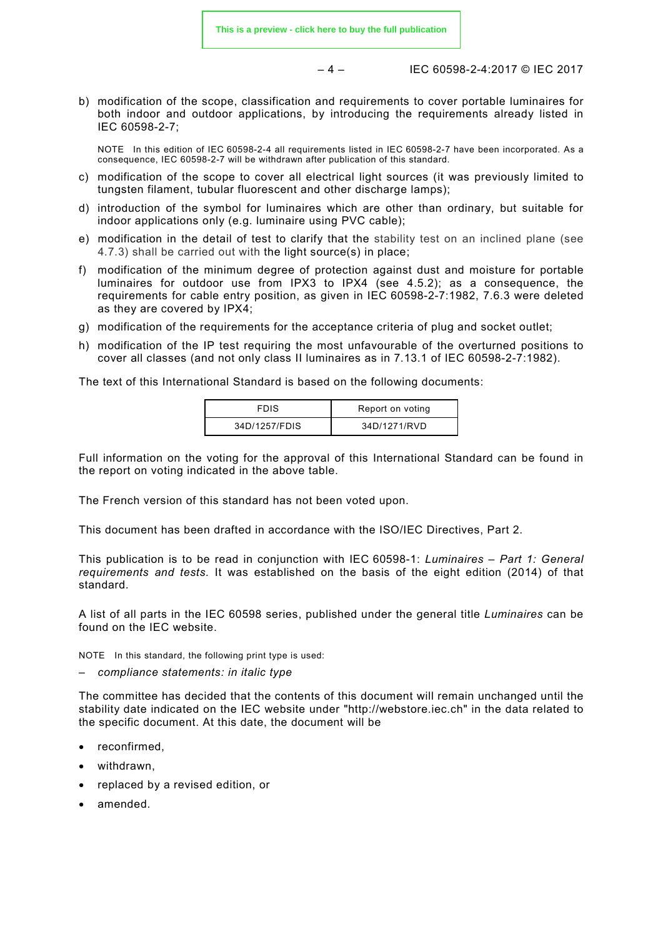– 4 – IEC 60598-2-4:2017 © IEC 2017

b) modification of the scope, classification and requirements to cover portable luminaires for both indoor and outdoor applications, by introducing the requirements already listed in IEC 60598-2-7;

NOTE In this edition of IEC 60598-2-4 all requirements listed in IEC 60598-2-7 have been incorporated. As a consequence, IEC 60598-2-7 will be withdrawn after publication of this standard.

- c) modification of the scope to cover all electrical light sources (it was previously limited to tungsten filament, tubular fluorescent and other discharge lamps);
- d) introduction of the symbol for luminaires which are other than ordinary, but suitable for indoor applications only (e.g. luminaire using PVC cable);
- e) modification in the detail of test to clarify that the stability test on an inclined plane (see 4.7.3) shall be carried out with the light source(s) in place;
- f) modification of the minimum degree of protection against dust and moisture for portable luminaires for outdoor use from IPX3 to IPX4 (see 4.5.2); as a consequence, the requirements for cable entry position, as given in IEC 60598-2-7:1982, 7.6.3 were deleted as they are covered by IPX4;
- g) modification of the requirements for the acceptance criteria of plug and socket outlet;
- h) modification of the IP test requiring the most unfavourable of the overturned positions to cover all classes (and not only class II luminaires as in 7.13.1 of IEC 60598-2-7:1982).

The text of this International Standard is based on the following documents:

| <b>FDIS</b>   | Report on voting |
|---------------|------------------|
| 34D/1257/FDIS | 34D/1271/RVD     |

Full information on the voting for the approval of this International Standard can be found in the report on voting indicated in the above table.

The French version of this standard has not been voted upon.

This document has been drafted in accordance with the ISO/IEC Directives, Part 2.

This publication is to be read in conjunction with IEC 60598-1: *Luminaires – Part 1: General requirements and tests.* It was established on the basis of the eight edition (2014) of that standard.

A list of all parts in the IEC 60598 series, published under the general title *Luminaires* can be found on the IEC website.

NOTE In this standard, the following print type is used:

– *compliance statements: in italic type*

The committee has decided that the contents of this document will remain unchanged until the stability date indicated on the IEC website under "http://webstore.iec.ch" in the data related to the specific document. At this date, the document will be

- reconfirmed,
- withdrawn,
- replaced by a revised edition, or
- amended.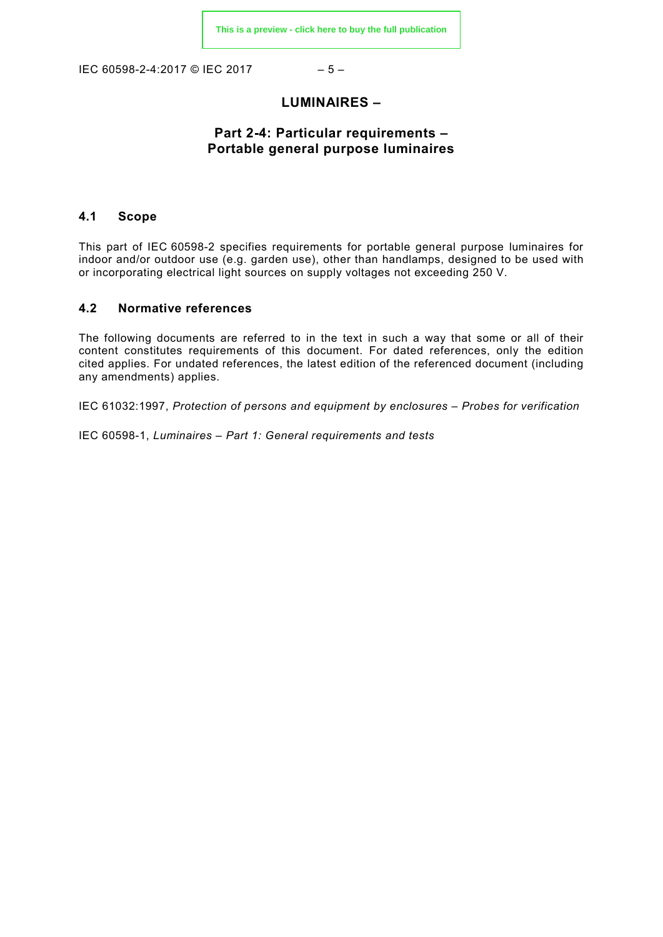IEC 60598-2-4:2017 © IEC 2017  $-5-$ 

# **LUMINAIRES –**

# **Part 2-4: Particular requirements – Portable general purpose luminaires**

#### <span id="page-4-0"></span>**4.1 Scope**

This part of IEC 60598-2 specifies requirements for portable general purpose luminaires for indoor and/or outdoor use (e.g. garden use), other than handlamps, designed to be used with or incorporating electrical light sources on supply voltages not exceeding 250 V.

#### <span id="page-4-1"></span>**4.2 Normative references**

The following documents are referred to in the text in such a way that some or all of their content constitutes requirements of this document. For dated references, only the edition cited applies. For undated references, the latest edition of the referenced document (including any amendments) applies.

IEC 61032:1997, *Protection of persons and equipment by enclosures – Probes for verification*

<span id="page-4-4"></span><span id="page-4-3"></span><span id="page-4-2"></span>IEC 60598-1, *Luminaires – Part 1: General requirements and tests*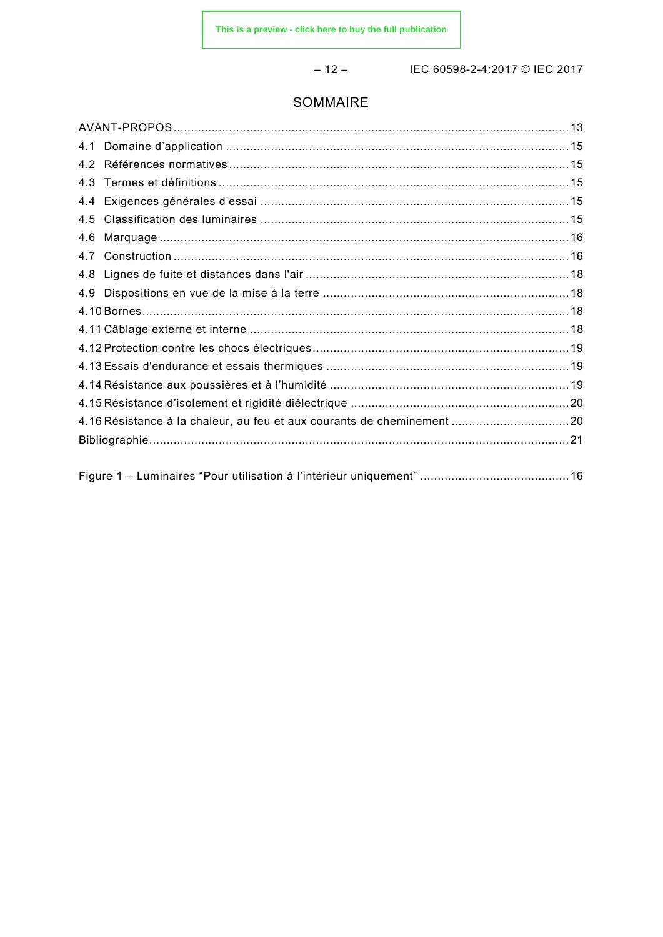$-12-$ 

IEC 60598-2-4:2017 © IEC 2017

# SOMMAIRE

| 4.2 |  |  |
|-----|--|--|
|     |  |  |
| 4.4 |  |  |
| 4.5 |  |  |
| 4.6 |  |  |
| 4.7 |  |  |
| 4.8 |  |  |
| 4.9 |  |  |
|     |  |  |
|     |  |  |
|     |  |  |
|     |  |  |
|     |  |  |
|     |  |  |
|     |  |  |
|     |  |  |
|     |  |  |
|     |  |  |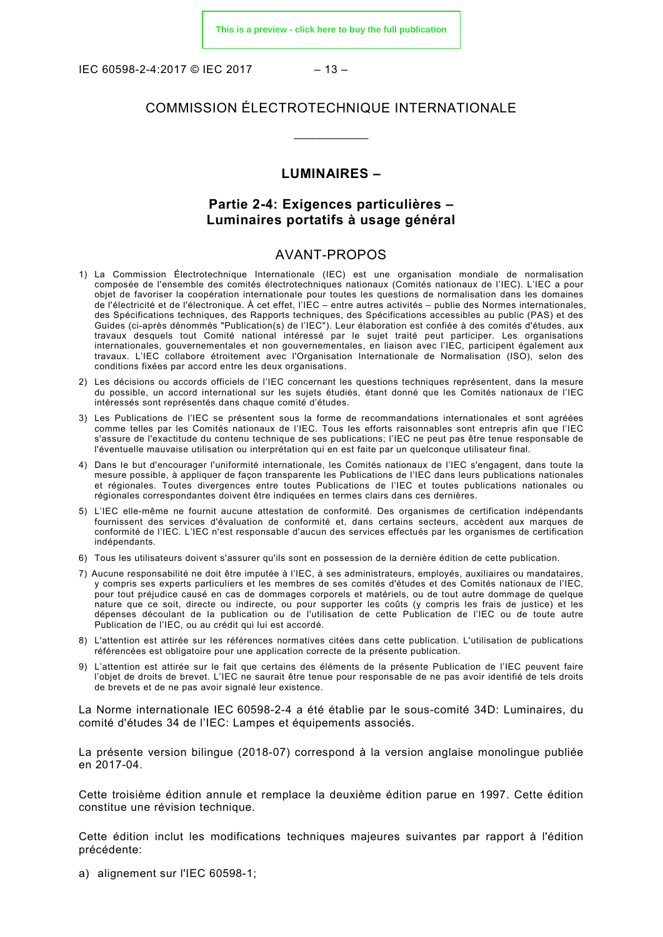IEC 60598-2-4:2017 © IEC 2017 – 13 –

# COMMISSION ÉLECTROTECHNIQUE INTERNATIONALE

\_\_\_\_\_\_\_\_\_\_\_\_

#### **LUMINAIRES –**

#### **Partie 2-4: Exigences particulières – Luminaires portatifs à usage général**

#### AVANT-PROPOS

- <span id="page-6-0"></span>1) La Commission Électrotechnique Internationale (IEC) est une organisation mondiale de normalisation composée de l'ensemble des comités électrotechniques nationaux (Comités nationaux de l'IEC). L'IEC a pour objet de favoriser la coopération internationale pour toutes les questions de normalisation dans les domaines de l'électricité et de l'électronique. À cet effet, l'IEC – entre autres activités – publie des Normes internationales, des Spécifications techniques, des Rapports techniques, des Spécifications accessibles au public (PAS) et des Guides (ci-après dénommés "Publication(s) de l'IEC"). Leur élaboration est confiée à des comités d'études, aux travaux desquels tout Comité national intéressé par le sujet traité peut participer. Les organisations internationales, gouvernementales et non gouvernementales, en liaison avec l'IEC, participent également aux travaux. L'IEC collabore étroitement avec l'Organisation Internationale de Normalisation (ISO), selon des conditions fixées par accord entre les deux organisations.
- 2) Les décisions ou accords officiels de l'IEC concernant les questions techniques représentent, dans la mesure du possible, un accord international sur les sujets étudiés, étant donné que les Comités nationaux de l'IEC intéressés sont représentés dans chaque comité d'études.
- 3) Les Publications de l'IEC se présentent sous la forme de recommandations internationales et sont agréées comme telles par les Comités nationaux de l'IEC. Tous les efforts raisonnables sont entrepris afin que l'IEC s'assure de l'exactitude du contenu technique de ses publications; l'IEC ne peut pas être tenue responsable de l'éventuelle mauvaise utilisation ou interprétation qui en est faite par un quelconque utilisateur final.
- 4) Dans le but d'encourager l'uniformité internationale, les Comités nationaux de l'IEC s'engagent, dans toute la mesure possible, à appliquer de façon transparente les Publications de l'IEC dans leurs publications nationales et régionales. Toutes divergences entre toutes Publications de l'IEC et toutes publications nationales ou régionales correspondantes doivent être indiquées en termes clairs dans ces dernières.
- 5) L'IEC elle-même ne fournit aucune attestation de conformité. Des organismes de certification indépendants fournissent des services d'évaluation de conformité et, dans certains secteurs, accèdent aux marques de conformité de l'IEC. L'IEC n'est responsable d'aucun des services effectués par les organismes de certification indépendants.
- 6) Tous les utilisateurs doivent s'assurer qu'ils sont en possession de la dernière édition de cette publication.
- 7) Aucune responsabilité ne doit être imputée à l'IEC, à ses administrateurs, employés, auxiliaires ou mandataires, y compris ses experts particuliers et les membres de ses comités d'études et des Comités nationaux de l'IEC, pour tout préjudice causé en cas de dommages corporels et matériels, ou de tout autre dommage de quelque nature que ce soit, directe ou indirecte, ou pour supporter les coûts (y compris les frais de justice) et les dépenses découlant de la publication ou de l'utilisation de cette Publication de l'IEC ou de toute autre Publication de l'IEC, ou au crédit qui lui est accordé.
- 8) L'attention est attirée sur les références normatives citées dans cette publication. L'utilisation de publications référencées est obligatoire pour une application correcte de la présente publication.
- 9) L'attention est attirée sur le fait que certains des éléments de la présente Publication de l'IEC peuvent faire l'objet de droits de brevet. L'IEC ne saurait être tenue pour responsable de ne pas avoir identifié de tels droits de brevets et de ne pas avoir signalé leur existence.

La Norme internationale IEC 60598-2-4 a été établie par le sous-comité 34D: Luminaires, du comité d'études 34 de l'IEC: Lampes et équipements associés.

La présente version bilingue (2018-07) correspond à la version anglaise monolingue publiée en 2017-04.

Cette troisième édition annule et remplace la deuxième édition parue en 1997. Cette édition constitue une révision technique.

Cette édition inclut les modifications techniques majeures suivantes par rapport à l'édition précédente:

a) alignement sur l'IEC 60598-1;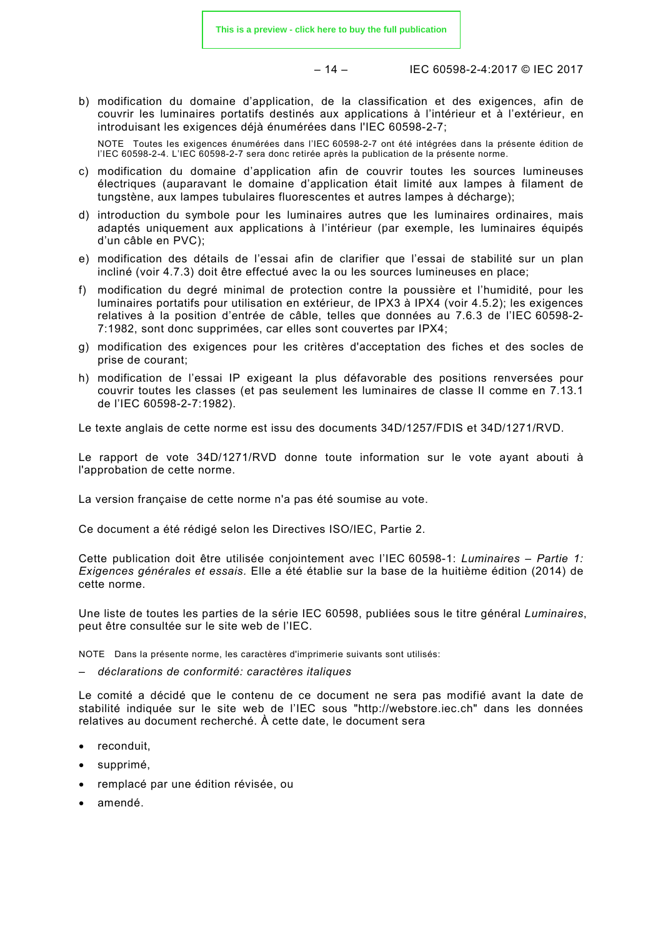– 14 – IEC 60598-2-4:2017 © IEC 2017

b) modification du domaine d'application, de la classification et des exigences, afin de couvrir les luminaires portatifs destinés aux applications à l'intérieur et à l'extérieur, en introduisant les exigences déjà énumérées dans l'IEC 60598-2-7;

NOTE Toutes les exigences énumérées dans l'IEC 60598-2-7 ont été intégrées dans la présente édition de l'IEC 60598-2-4. L'IEC 60598-2-7 sera donc retirée après la publication de la présente norme.

- c) modification du domaine d'application afin de couvrir toutes les sources lumineuses électriques (auparavant le domaine d'application était limité aux lampes à filament de tungstène, aux lampes tubulaires fluorescentes et autres lampes à décharge);
- d) introduction du symbole pour les luminaires autres que les luminaires ordinaires, mais adaptés uniquement aux applications à l'intérieur (par exemple, les luminaires équipés d'un câble en PVC);
- e) modification des détails de l'essai afin de clarifier que l'essai de stabilité sur un plan incliné (voir 4.7.3) doit être effectué avec la ou les sources lumineuses en place;
- f) modification du degré minimal de protection contre la poussière et l'humidité, pour les luminaires portatifs pour utilisation en extérieur, de IPX3 à IPX4 (voir 4.5.2); les exigences relatives à la position d'entrée de câble, telles que données au 7.6.3 de l'IEC 60598-2- 7:1982, sont donc supprimées, car elles sont couvertes par IPX4;
- g) modification des exigences pour les critères d'acceptation des fiches et des socles de prise de courant;
- h) modification de l'essai IP exigeant la plus défavorable des positions renversées pour couvrir toutes les classes (et pas seulement les luminaires de classe II comme en 7.13.1 de l'IEC 60598-2-7:1982).

Le texte anglais de cette norme est issu des documents 34D/1257/FDIS et 34D/1271/RVD.

Le rapport de vote 34D/1271/RVD donne toute information sur le vote ayant abouti à l'approbation de cette norme.

La version française de cette norme n'a pas été soumise au vote.

Ce document a été rédigé selon les Directives ISO/IEC, Partie 2.

Cette publication doit être utilisée conjointement avec l'IEC 60598-1: *Luminaires – Partie 1: Exigences générales et essais.* Elle a été établie sur la base de la huitième édition (2014) de cette norme.

Une liste de toutes les parties de la série IEC 60598, publiées sous le titre général *Luminaires*, peut être consultée sur le site web de l'IEC.

NOTE Dans la présente norme, les caractères d'imprimerie suivants sont utilisés:

– *déclarations de conformité: caractères italiques*

Le comité a décidé que le contenu de ce document ne sera pas modifié avant la date de stabilité indiquée sur le site web de l'IEC sous "http://webstore.iec.ch" dans les données relatives au document recherché. À cette date, le document sera

- reconduit,
- supprimé,
- remplacé par une édition révisée, ou
- amendé.